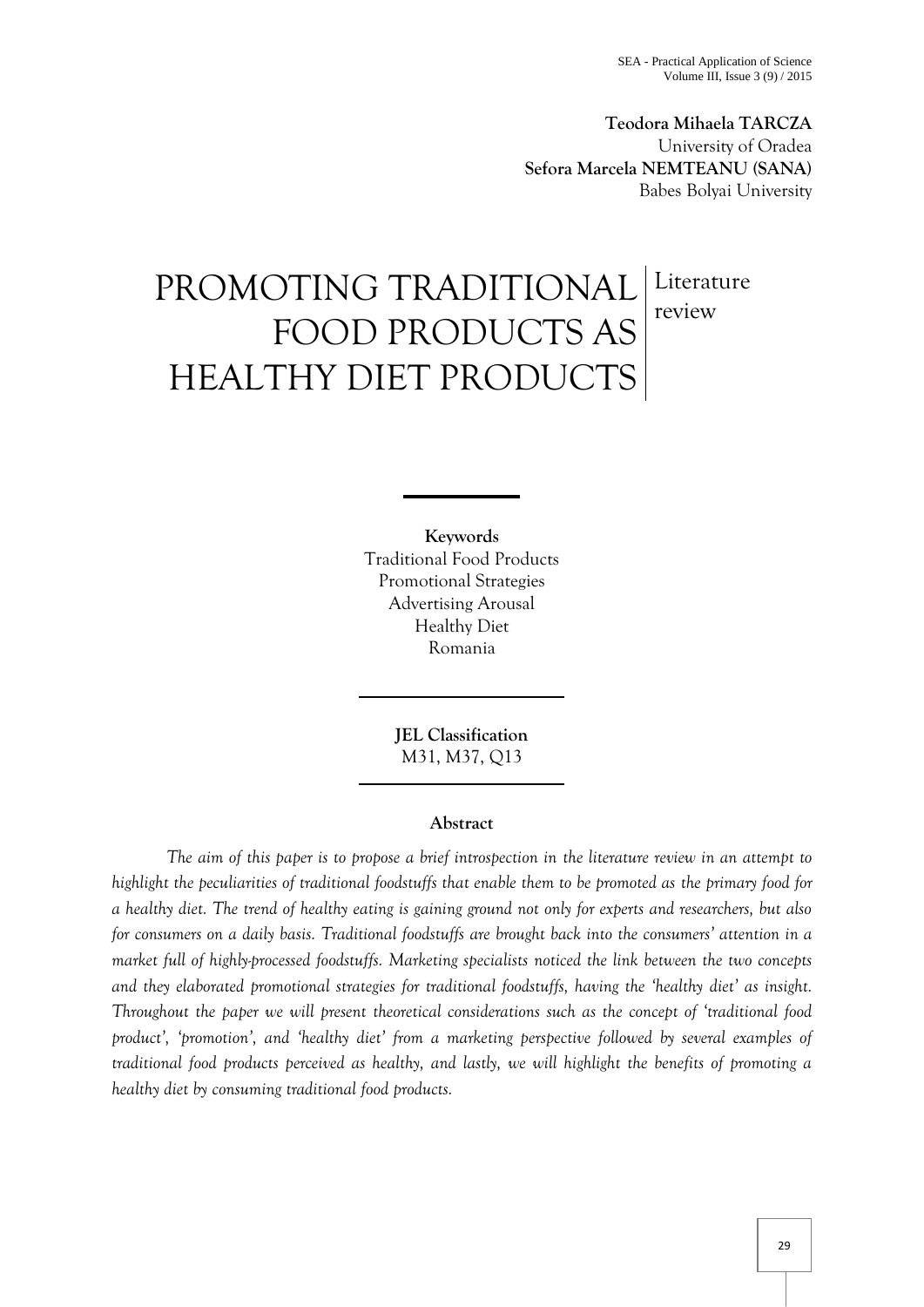**Teodora Mihaela TARCZA** University of Oradea **Sefora Marcela NEMTEANU (SANA)** Babes Bolyai University

# PROMOTING TRADITIONAL FOOD PRODUCTS AS HEALTHY DIET PRODUCTS Literature review

**Keywords** Traditional Food Products Promotional Strategies Advertising Arousal Healthy Diet Romania

> **JEL Classification**  M31, M37, Q13

#### **Abstract**

*The aim of this paper is to propose a brief introspection in the literature review in an attempt to highlight the peculiarities of traditional foodstuffs that enable them to be promoted as the primary food for a healthy diet. The trend of healthy eating is gaining ground not only for experts and researchers, but also for consumers on a daily basis. Traditional foodstuffs are brought back into the consumers' attention in a market full of highly-processed foodstuffs. Marketing specialists noticed the link between the two concepts and they elaborated promotional strategies for traditional foodstuffs, having the 'healthy diet' as insight. Throughout the paper we will present theoretical considerations such as the concept of 'traditional food product', 'promotion', and 'healthy diet' from a marketing perspective followed by several examples of traditional food products perceived as healthy, and lastly, we will highlight the benefits of promoting a healthy diet by consuming traditional food products.*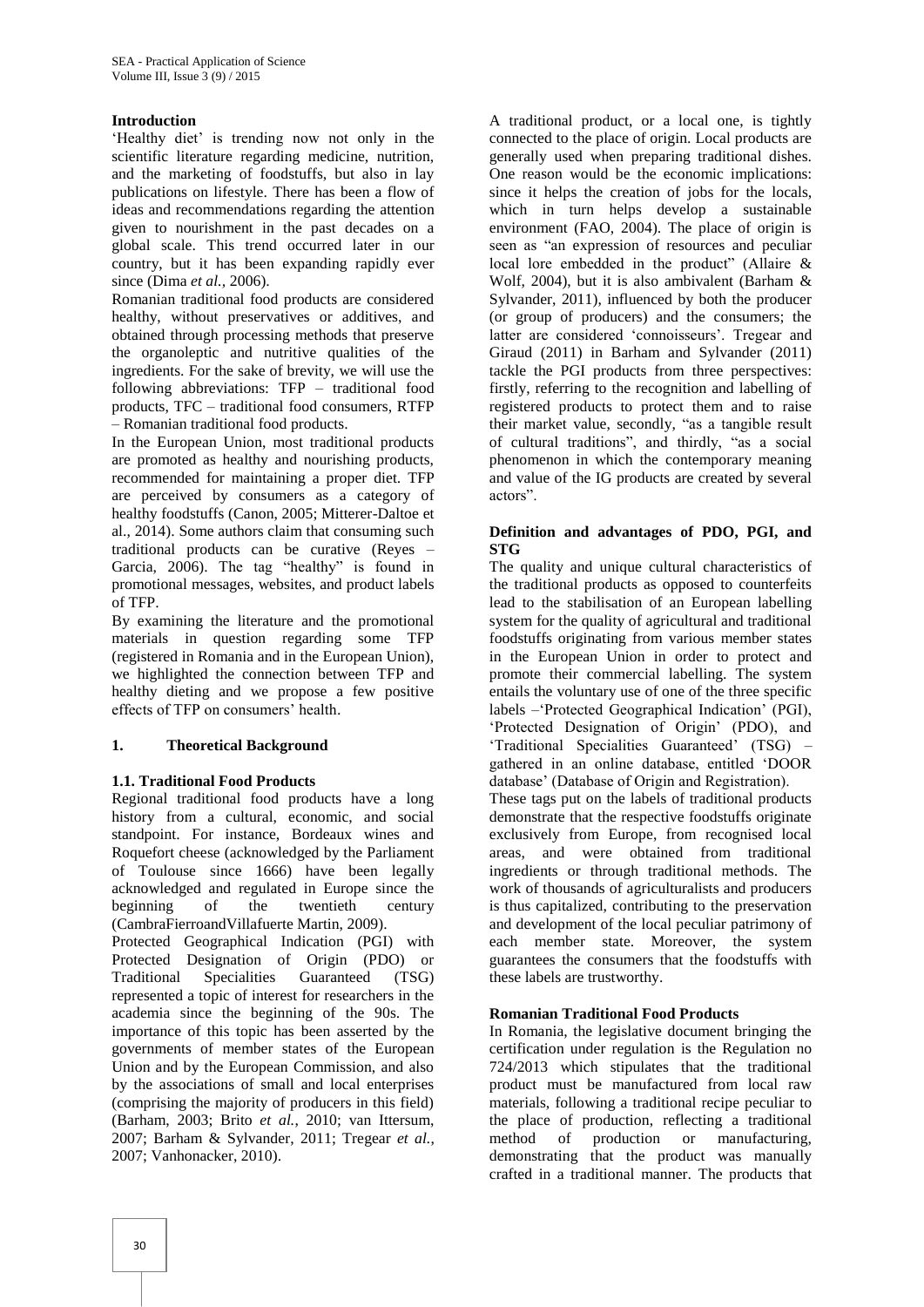## **Introduction**

"Healthy diet" is trending now not only in the scientific literature regarding medicine, nutrition, and the marketing of foodstuffs, but also in lay publications on lifestyle. There has been a flow of ideas and recommendations regarding the attention given to nourishment in the past decades on a global scale. This trend occurred later in our country, but it has been expanding rapidly ever since (Dima *et al.,* 2006).

Romanian traditional food products are considered healthy, without preservatives or additives, and obtained through processing methods that preserve the organoleptic and nutritive qualities of the ingredients. For the sake of brevity, we will use the following abbreviations: TFP – traditional food products, TFC – traditional food consumers, RTFP – Romanian traditional food products.

In the European Union, most traditional products are promoted as healthy and nourishing products, recommended for maintaining a proper diet. TFP are perceived by consumers as a category of healthy foodstuffs (Canon, 2005; Mitterer-Daltoe et al., 2014). Some authors claim that consuming such traditional products can be curative (Reyes – Garcia, 2006). The tag "healthy" is found in promotional messages, websites, and product labels of TFP.

By examining the literature and the promotional materials in question regarding some TFP (registered in Romania and in the European Union), we highlighted the connection between TFP and healthy dieting and we propose a few positive effects of TFP on consumers' health.

#### **1. Theoretical Background**

#### **1.1. Traditional Food Products**

Regional traditional food products have a long history from a cultural, economic, and social standpoint. For instance, Bordeaux wines and Roquefort cheese (acknowledged by the Parliament of Toulouse since 1666) have been legally acknowledged and regulated in Europe since the beginning of the twentieth century (CambraFierroandVillafuerte Martin, 2009).

Protected Geographical Indication (PGI) with Protected Designation of Origin (PDO) or Traditional Specialities Guaranteed (TSG) represented a topic of interest for researchers in the academia since the beginning of the 90s. The importance of this topic has been asserted by the governments of member states of the European Union and by the European Commission, and also by the associations of small and local enterprises (comprising the majority of producers in this field) (Barham, 2003; Brito *et al.*, 2010; van Ittersum, 2007; Barham & Sylvander, 2011; Tregear *et al.*, 2007; Vanhonacker, 2010).

A traditional product, or a local one, is tightly connected to the place of origin. Local products are generally used when preparing traditional dishes. One reason would be the economic implications: since it helps the creation of jobs for the locals, which in turn helps develop a sustainable environment (FAO, 2004). The place of origin is seen as "an expression of resources and peculiar local lore embedded in the product" (Allaire & Wolf, 2004), but it is also ambivalent (Barham & Sylvander, 2011), influenced by both the producer (or group of producers) and the consumers; the latter are considered 'connoisseurs'. Tregear and Giraud (2011) in Barham and Sylvander (2011) tackle the PGI products from three perspectives: firstly, referring to the recognition and labelling of registered products to protect them and to raise their market value, secondly, "as a tangible result of cultural traditions", and thirdly, "as a social phenomenon in which the contemporary meaning and value of the IG products are created by several actors".

## **Definition and advantages of PDO, PGI, and STG**

The quality and unique cultural characteristics of the traditional products as opposed to counterfeits lead to the stabilisation of an European labelling system for the quality of agricultural and traditional foodstuffs originating from various member states in the European Union in order to protect and promote their commercial labelling. The system entails the voluntary use of one of the three specific labels – Protected Geographical Indication' (PGI). "Protected Designation of Origin" (PDO), and "Traditional Specialities Guaranteed" (TSG) – gathered in an online database, entitled "DOOR database' (Database of Origin and Registration).

These tags put on the labels of traditional products demonstrate that the respective foodstuffs originate exclusively from Europe, from recognised local areas, and were obtained from traditional ingredients or through traditional methods. The work of thousands of agriculturalists and producers is thus capitalized, contributing to the preservation and development of the local peculiar patrimony of each member state. Moreover, the system guarantees the consumers that the foodstuffs with these labels are trustworthy.

#### **Romanian Traditional Food Products**

In Romania, the legislative document bringing the certification under regulation is the Regulation no 724/2013 which stipulates that the traditional product must be manufactured from local raw materials, following a traditional recipe peculiar to the place of production, reflecting a traditional method of production or manufacturing, demonstrating that the product was manually crafted in a traditional manner. The products that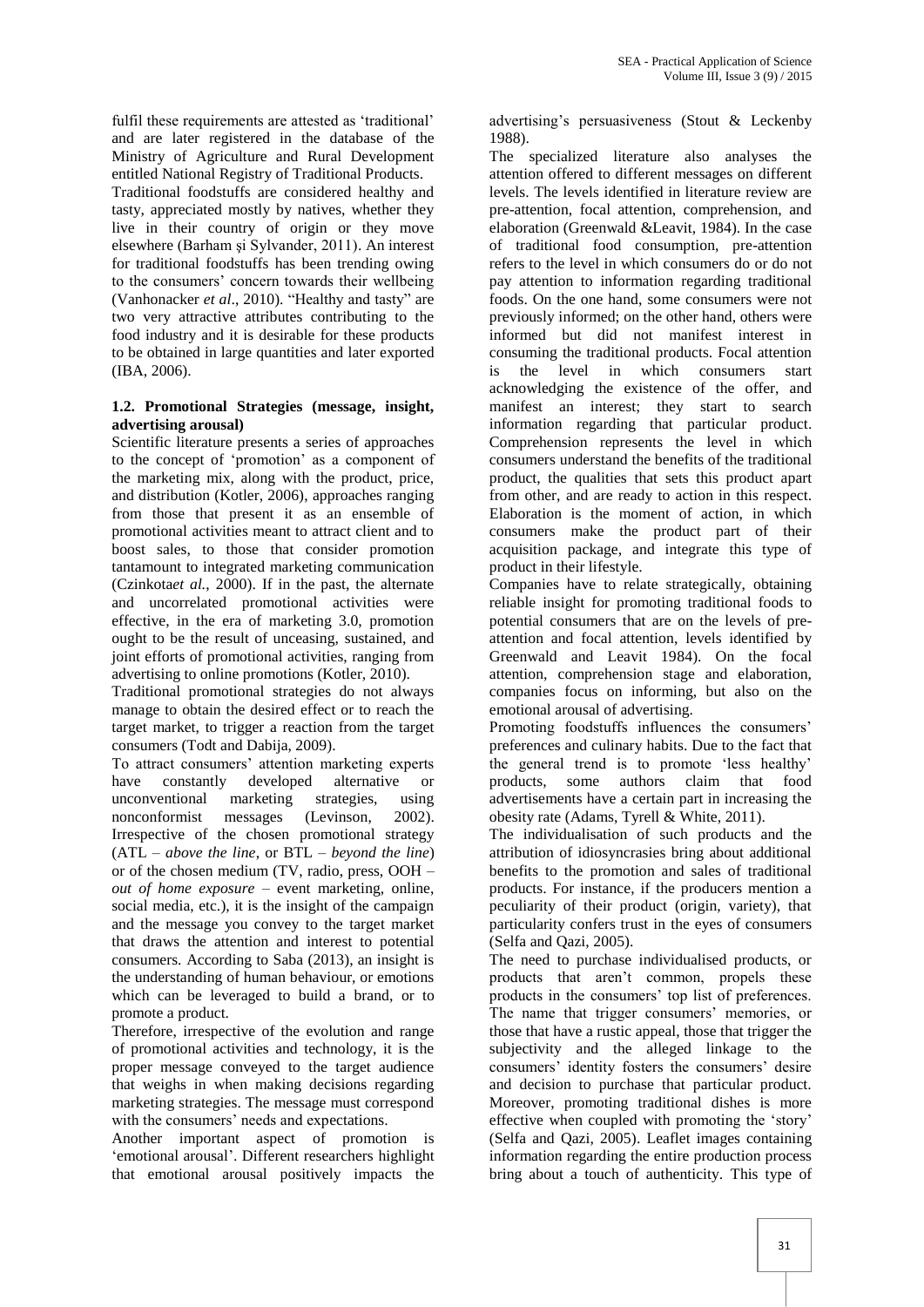fulfil these requirements are attested as 'traditional' and are later registered in the database of the Ministry of Agriculture and Rural Development entitled National Registry of Traditional Products.

Traditional foodstuffs are considered healthy and tasty, appreciated mostly by natives, whether they live in their country of origin or they move elsewhere (Barham şi Sylvander, 2011). An interest for traditional foodstuffs has been trending owing to the consumers" concern towards their wellbeing (Vanhonacker *et al*., 2010). "Healthy and tasty" are two very attractive attributes contributing to the food industry and it is desirable for these products to be obtained in large quantities and later exported (IBA, 2006).

## **1.2. Promotional Strategies (message, insight, advertising arousal)**

Scientific literature presents a series of approaches to the concept of "promotion" as a component of the marketing mix, along with the product, price, and distribution (Kotler, 2006), approaches ranging from those that present it as an ensemble of promotional activities meant to attract client and to boost sales, to those that consider promotion tantamount to integrated marketing communication (Czinkota*et al.*, 2000). If in the past, the alternate and uncorrelated promotional activities were effective, in the era of marketing 3.0, promotion ought to be the result of unceasing, sustained, and joint efforts of promotional activities, ranging from advertising to online promotions (Kotler, 2010).

Traditional promotional strategies do not always manage to obtain the desired effect or to reach the target market, to trigger a reaction from the target consumers (Todt and Dabija, 2009).

To attract consumers' attention marketing experts have constantly developed alternative or unconventional marketing strategies, using nonconformist messages (Levinson, 2002). Irrespective of the chosen promotional strategy (ATL – *above the line*, or BTL – *beyond the line*) or of the chosen medium (TV, radio, press, OOH – *out of home exposure* – event marketing, online, social media, etc.), it is the insight of the campaign and the message you convey to the target market that draws the attention and interest to potential consumers. According to Saba (2013), an insight is the understanding of human behaviour, or emotions which can be leveraged to build a brand, or to promote a product.

Therefore, irrespective of the evolution and range of promotional activities and technology, it is the proper message conveyed to the target audience that weighs in when making decisions regarding marketing strategies. The message must correspond with the consumers' needs and expectations.

Another important aspect of promotion is 'emotional arousal'. Different researchers highlight that emotional arousal positively impacts the

advertising"s persuasiveness (Stout & Leckenby 1988).

The specialized literature also analyses the attention offered to different messages on different levels. The levels identified in literature review are pre-attention, focal attention, comprehension, and elaboration (Greenwald &Leavit, 1984). In the case of traditional food consumption, pre-attention refers to the level in which consumers do or do not pay attention to information regarding traditional foods. On the one hand, some consumers were not previously informed; on the other hand, others were informed but did not manifest interest in consuming the traditional products. Focal attention is the level in which consumers start acknowledging the existence of the offer, and manifest an interest; they start to search information regarding that particular product. Comprehension represents the level in which consumers understand the benefits of the traditional product, the qualities that sets this product apart from other, and are ready to action in this respect. Elaboration is the moment of action, in which consumers make the product part of their acquisition package, and integrate this type of product in their lifestyle.

Companies have to relate strategically, obtaining reliable insight for promoting traditional foods to potential consumers that are on the levels of preattention and focal attention, levels identified by Greenwald and Leavit 1984). On the focal attention, comprehension stage and elaboration, companies focus on informing, but also on the emotional arousal of advertising.

Promoting foodstuffs influences the consumers' preferences and culinary habits. Due to the fact that the general trend is to promote "less healthy" products, some authors claim that food advertisements have a certain part in increasing the obesity rate (Adams, Tyrell & White, 2011).

The individualisation of such products and the attribution of idiosyncrasies bring about additional benefits to the promotion and sales of traditional products. For instance, if the producers mention a peculiarity of their product (origin, variety), that particularity confers trust in the eyes of consumers (Selfa and Qazi, 2005).

The need to purchase individualised products, or products that aren"t common, propels these products in the consumers" top list of preferences. The name that trigger consumers' memories, or those that have a rustic appeal, those that trigger the subjectivity and the alleged linkage to the consumers' identity fosters the consumers' desire and decision to purchase that particular product. Moreover, promoting traditional dishes is more effective when coupled with promoting the "story" (Selfa and Qazi, 2005). Leaflet images containing information regarding the entire production process bring about a touch of authenticity. This type of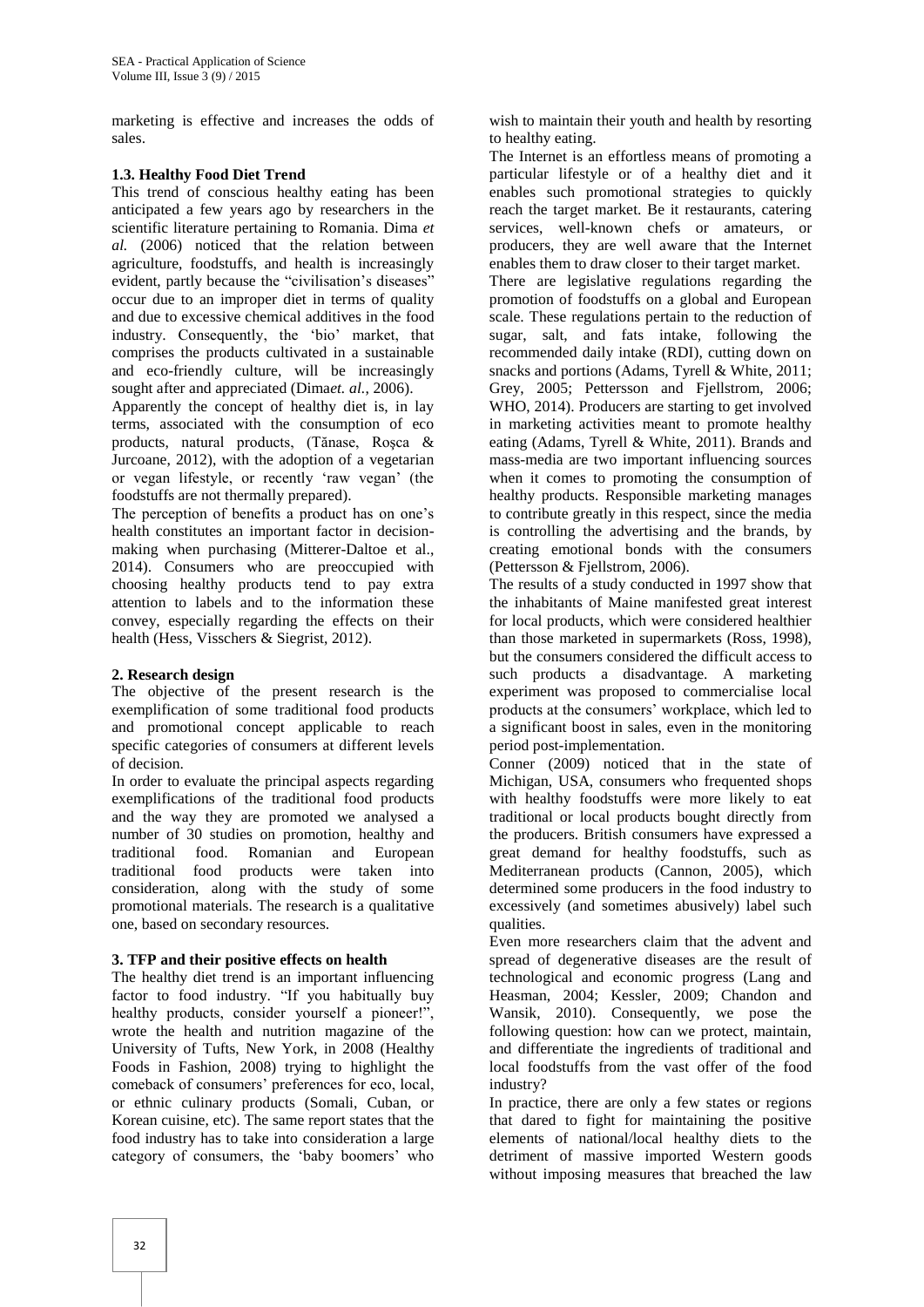marketing is effective and increases the odds of sales.

# **1.3. Healthy Food Diet Trend**

This trend of conscious healthy eating has been anticipated a few years ago by researchers in the scientific literature pertaining to Romania. Dima *et al.* (2006) noticed that the relation between agriculture, foodstuffs, and health is increasingly evident, partly because the "civilisation's diseases" occur due to an improper diet in terms of quality and due to excessive chemical additives in the food industry. Consequently, the "bio" market, that comprises the products cultivated in a sustainable and eco-friendly culture, will be increasingly sought after and appreciated (Dima*et. al.*, 2006).

Apparently the concept of healthy diet is, in lay terms, associated with the consumption of eco products, natural products, (Tănase, Roşca & Jurcoane, 2012), with the adoption of a vegetarian or vegan lifestyle, or recently "raw vegan" (the foodstuffs are not thermally prepared).

The perception of benefits a product has on one"s health constitutes an important factor in decisionmaking when purchasing (Mitterer-Daltoe et al., 2014). Consumers who are preoccupied with choosing healthy products tend to pay extra attention to labels and to the information these convey, especially regarding the effects on their health [\(Hess, Visschers](http://www.sciencedirect.com.ux4ll8xu6v.useaccesscontrol.com/science/article/pii/S0023643813003563#bib11) & Siegrist, 2012).

# **2. Research design**

The objective of the present research is the exemplification of some traditional food products and promotional concept applicable to reach specific categories of consumers at different levels of decision.

In order to evaluate the principal aspects regarding exemplifications of the traditional food products and the way they are promoted we analysed a number of 30 studies on promotion, healthy and traditional food. Romanian and European traditional food products were taken into consideration, along with the study of some promotional materials. The research is a qualitative one, based on secondary resources.

#### **3. TFP and their positive effects on health**

The healthy diet trend is an important influencing factor to food industry. "If you habitually buy healthy products, consider yourself a pioneer!", wrote the health and nutrition magazine of the University of Tufts, New York, in 2008 (Healthy Foods in Fashion, 2008) trying to highlight the comeback of consumers" preferences for eco, local, or ethnic culinary products (Somali, Cuban, or Korean cuisine, etc). The same report states that the food industry has to take into consideration a large category of consumers, the 'baby boomers' who

wish to maintain their youth and health by resorting to healthy eating.

The Internet is an effortless means of promoting a particular lifestyle or of a healthy diet and it enables such promotional strategies to quickly reach the target market. Be it restaurants, catering services, well-known chefs or amateurs, or producers, they are well aware that the Internet enables them to draw closer to their target market.

There are legislative regulations regarding the promotion of foodstuffs on a global and European scale. These regulations pertain to the reduction of sugar, salt, and fats intake, following the recommended daily intake (RDI), cutting down on snacks and portions (Adams, Tyrell & White, 2011; Grey, 2005; Pettersson and Fjellstrom, 2006; WHO, 2014). Producers are starting to get involved in marketing activities meant to promote healthy eating (Adams, Tyrell & White, 2011). Brands and mass-media are two important influencing sources when it comes to promoting the consumption of healthy products. Responsible marketing manages to contribute greatly in this respect, since the media is controlling the advertising and the brands, by creating emotional bonds with the consumers (Pettersson & Fjellstrom, 2006).

The results of a study conducted in 1997 show that the inhabitants of Maine manifested great interest for local products, which were considered healthier than those marketed in supermarkets (Ross, 1998), but the consumers considered the difficult access to such products a disadvantage. A marketing experiment was proposed to commercialise local products at the consumers" workplace, which led to a significant boost in sales, even in the monitoring period post-implementation.

Conner (2009) noticed that in the state of Michigan, USA, consumers who frequented shops with healthy foodstuffs were more likely to eat traditional or local products bought directly from the producers. British consumers have expressed a great demand for healthy foodstuffs, such as Mediterranean products (Cannon, 2005), which determined some producers in the food industry to excessively (and sometimes abusively) label such qualities.

Even more researchers claim that the advent and spread of degenerative diseases are the result of technological and economic progress (Lang and Heasman, 2004; Kessler, 2009; Chandon and Wansik, 2010). Consequently, we pose the following question: how can we protect, maintain, and differentiate the ingredients of traditional and local foodstuffs from the vast offer of the food industry?

In practice, there are only a few states or regions that dared to fight for maintaining the positive elements of national/local healthy diets to the detriment of massive imported Western goods without imposing measures that breached the law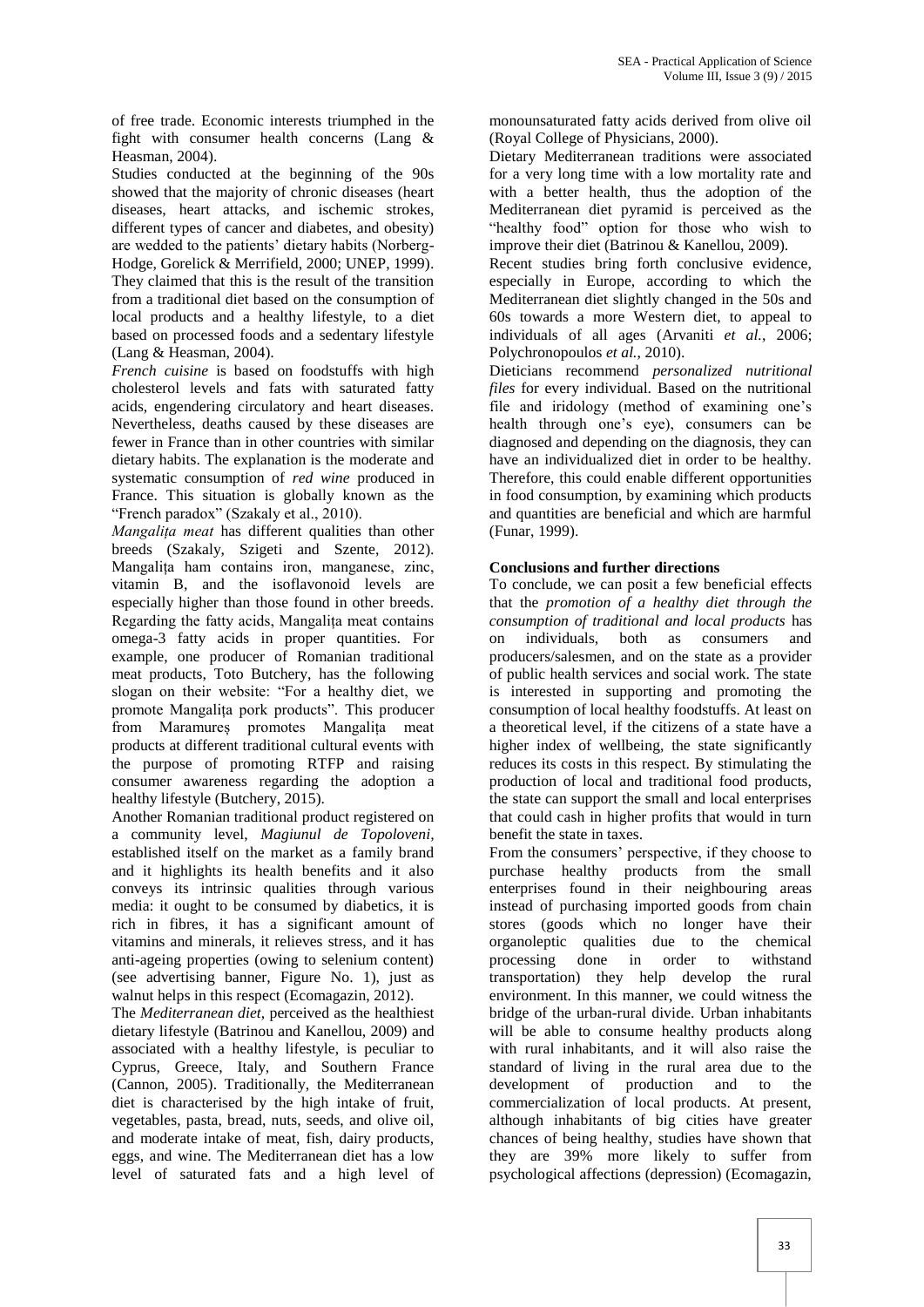of free trade. Economic interests triumphed in the fight with consumer health concerns (Lang & Heasman, 2004).

Studies conducted at the beginning of the 90s showed that the majority of chronic diseases (heart diseases, heart attacks, and ischemic strokes, different types of cancer and diabetes, and obesity) are wedded to the patients' dietary habits (Norberg-Hodge, Gorelick & Merrifield, 2000; UNEP, 1999). They claimed that this is the result of the transition from a traditional diet based on the consumption of local products and a healthy lifestyle, to a diet based on processed foods and a sedentary lifestyle (Lang & Heasman, 2004).

*French cuisine* is based on foodstuffs with high cholesterol levels and fats with saturated fatty acids, engendering circulatory and heart diseases. Nevertheless, deaths caused by these diseases are fewer in France than in other countries with similar dietary habits. The explanation is the moderate and systematic consumption of *red wine* produced in France. This situation is globally known as the "French paradox" (Szakaly et al., 2010).

*Mangalița meat* has different qualities than other breeds (Szakaly, Szigeti and Szente, 2012). Mangalița ham contains iron, manganese, zinc, vitamin B, and the isoflavonoid levels are especially higher than those found in other breeds. Regarding the fatty acids, Mangalița meat contains omega-3 fatty acids in proper quantities. For example, one producer of Romanian traditional meat products, Toto Butchery, has the following slogan on their website: "For a healthy diet, we promote Mangalița pork products". This producer from Maramureș promotes Mangalița meat products at different traditional cultural events with the purpose of promoting RTFP and raising consumer awareness regarding the adoption a healthy lifestyle (Butchery, 2015).

Another Romanian traditional product registered on a community level, *Magiunul de Topoloveni,*  established itself on the market as a family brand and it highlights its health benefits and it also conveys its intrinsic qualities through various media: it ought to be consumed by diabetics, it is rich in fibres, it has a significant amount of vitamins and minerals, it relieves stress, and it has anti-ageing properties (owing to selenium content) (see advertising banner, Figure No. 1), just as walnut helps in this respect (Ecomagazin, 2012).

The *Mediterranean diet*, perceived as the healthiest dietary lifestyle (Batrinou and Kanellou, 2009) and associated with a healthy lifestyle, is peculiar to Cyprus, Greece, Italy, and Southern France (Cannon, 2005). Traditionally, the Mediterranean diet is characterised by the high intake of fruit, vegetables, pasta, bread, nuts, seeds, and olive oil, and moderate intake of meat, fish, dairy products, eggs, and wine. The Mediterranean diet has a low level of saturated fats and a high level of monounsaturated fatty acids derived from olive oil (Royal College of Physicians, 2000).

Dietary Mediterranean traditions were associated for a very long time with a low mortality rate and with a better health, thus the adoption of the Mediterranean diet pyramid is perceived as the "healthy food" option for those who wish to improve their diet (Batrinou & Kanellou, 2009).

Recent studies bring forth conclusive evidence, especially in Europe, according to which the Mediterranean diet slightly changed in the 50s and 60s towards a more Western diet, to appeal to individuals of all ages (Arvaniti *et al.*, 2006; Polychronopoulos *et al.*, 2010).

Dieticians recommend *personalized nutritional files* for every individual. Based on the nutritional file and iridology (method of examining one's health through one"s eye), consumers can be diagnosed and depending on the diagnosis, they can have an individualized diet in order to be healthy. Therefore, this could enable different opportunities in food consumption, by examining which products and quantities are beneficial and which are harmful (Funar, 1999).

# **Conclusions and further directions**

To conclude, we can posit a few beneficial effects that the *promotion of a healthy diet through the consumption of traditional and local products* has on individuals, both as consumers and producers/salesmen, and on the state as a provider of public health services and social work. The state is interested in supporting and promoting the consumption of local healthy foodstuffs. At least on a theoretical level, if the citizens of a state have a higher index of wellbeing, the state significantly reduces its costs in this respect. By stimulating the production of local and traditional food products, the state can support the small and local enterprises that could cash in higher profits that would in turn benefit the state in taxes.

From the consumers' perspective, if they choose to purchase healthy products from the small enterprises found in their neighbouring areas instead of purchasing imported goods from chain stores (goods which no longer have their organoleptic qualities due to the chemical processing done in order to withstand transportation) they help develop the rural environment. In this manner, we could witness the bridge of the urban-rural divide. Urban inhabitants will be able to consume healthy products along with rural inhabitants, and it will also raise the standard of living in the rural area due to the development of production and to the commercialization of local products. At present, although inhabitants of big cities have greater chances of being healthy, studies have shown that they are 39% more likely to suffer from psychological affections (depression) (Ecomagazin,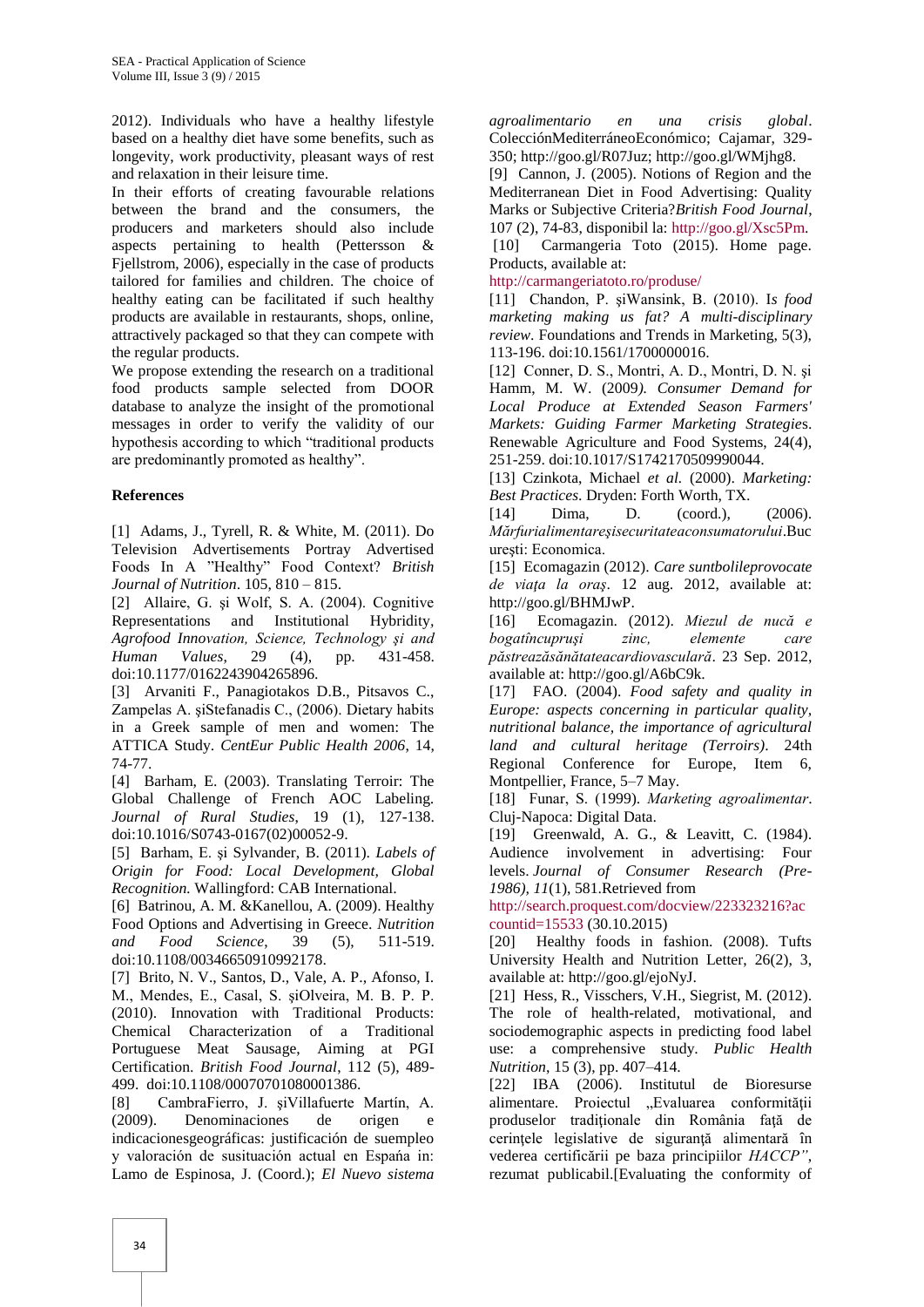2012). Individuals who have a healthy lifestyle based on a healthy diet have some benefits, such as longevity, work productivity, pleasant ways of rest and relaxation in their leisure time.

In their efforts of creating favourable relations between the brand and the consumers, the producers and marketers should also include aspects pertaining to health (Pettersson & Fjellstrom, 2006), especially in the case of products tailored for families and children. The choice of healthy eating can be facilitated if such healthy products are available in restaurants, shops, online, attractively packaged so that they can compete with the regular products.

We propose extending the research on a traditional food products sample selected from DOOR database to analyze the insight of the promotional messages in order to verify the validity of our hypothesis according to which "traditional products are predominantly promoted as healthy".

# **References**

[1] Adams, J., Tyrell, R. & White, M. (2011). Do Television Advertisements Portray Advertised Foods In A "Healthy" Food Context? *British Journal of Nutrition*. 105, 810 – 815.

[2] Allaire, G. şi Wolf, S. A. (2004). Cognitive Representations and Institutional Hybridity*, Agrofood Innovation, Science, Technology şi and Human Values*, 29 (4), pp. 431-458. doi:10.1177/0162243904265896.

[3] Arvaniti F., Panagiotakos D.B., Pitsavos C., Zampelas A. şiStefanadis C., (2006). Dietary habits in a Greek sample of men and women: The ATTICA Study. *CentEur Public Health 2006*, 14, 74-77.

[4] Barham, E. (2003). Translating Terroir: The Global Challenge of French AOC Labeling*. Journal of Rural Studies*, 19 (1), 127-138. doi:10.1016/S0743-0167(02)00052-9.

[5] Barham, E. şi Sylvander, B. (2011). *Labels of Origin for Food: Local Development, Global Recognition.* Wallingford: CAB International.

[6] Batrinou, A. M. &Kanellou, A. (2009). Healthy Food Options and Advertising in Greece. *Nutrition and Food Science*, 39 (5), 511-519. doi:10.1108/00346650910992178.

[7] Brito, N. V., Santos, D., Vale, A. P., Afonso, I. M., Mendes, E., Casal, S. şiOlveira, M. B. P. P. (2010). Innovation with Traditional Products: Chemical Characterization of a Traditional Portuguese Meat Sausage, Aiming at PGI Certification. *British Food Journal*, 112 (5), 489- 499. doi:10.1108/00070701080001386.

[8] CambraFierro, J. şiVillafuerte Martín, A. (2009). Denominaciones de origen e indicacionesgeográficas: justificación de suempleo y valoración de susituación actual en Espańa in: Lamo de Espinosa, J. (Coord.); *El Nuevo sistema* *agroalimentario en una crisis global*. ColecciónMediterráneoEconómico; Cajamar, 329- 350; http://goo.gl/R07Juz; http://goo.gl/WMjhg8.

[9] Cannon, J. (2005). Notions of Region and the Mediterranean Diet in Food Advertising: Quality Marks or Subjective Criteria?*British Food Journal*, 107 (2), 74-83, disponibil la: [http://goo.gl/Xsc5Pm.](http://goo.gl/Xsc5Pm)

[10] Carmangeria Toto (2015). Home page. Products, available at:

<http://carmangeriatoto.ro/produse/>

[11] Chandon, P. şiWansink, B. (2010). I*s food marketing making us fat? A multi-disciplinary review*. Foundations and Trends in Marketing, 5(3), 113-196. doi:10.1561/1700000016.

[12] Conner, D. S., Montri, A. D., Montri, D. N. şi Hamm, M. W. (2009*). Consumer Demand for Local Produce at Extended Season Farmers' Markets: Guiding Farmer Marketing Strategie*s. Renewable Agriculture and Food Systems, 24(4), 251-259. doi:10.1017/S1742170509990044.

[13] Czinkota, Michael *et al.* (2000). *Marketing: Best Practices*. Dryden: Forth Worth, TX.

[14] Dima, D. (coord.), (2006). *Mărfurialimentareşisecuritateaconsumatorului*.Buc ureşti: Economica.

[15] Ecomagazin (2012). *Care suntbolileprovocate de viaţa la oraş*. 12 aug. 2012, available at: http://goo.gl/BHMJwP.

[16] Ecomagazin. (2012). *Miezul de nucă e bogatîncupruşi zinc, elemente care păstreazăsănătateacardiovasculară*. 23 Sep. 2012, available at: http://goo.gl/A6bC9k.

[17] FAO. (2004). *Food safety and quality in Europe: aspects concerning in particular quality, nutritional balance, the importance of agricultural land and cultural heritage (Terroirs)*. 24th Regional Conference for Europe, Item 6, Montpellier, France, 5–7 May.

[18] Funar, Ѕ. (1999). *Мarkеting agroalimеntar*. Cluj-Napoca: Digital Data.

[19] Greenwald, A. G., & Leavitt, C. (1984). Audience involvement in advertising: Four levels. *Journal of Consumer Research (Pre-1986), 11*(1), 581.Retrieved from

[http://search.proquest.com/docview/223323216?ac](http://search.proquest.com/docview/223323216?accountid=15533) [countid=15533](http://search.proquest.com/docview/223323216?accountid=15533) (30.10.2015)

[20] Healthy foods in fashion. (2008). Tufts University Health and Nutrition Letter, 26(2), 3, available at: http://goo.gl/ejoNyJ.

[21] Hess, R., Visschers, V.H., Siegrist, M. (2012). The role of health-related, motivational, and sociodemographic aspects in predicting food label use: a comprehensive study. *Public Health Nutrition*, 15 (3), pp. 407–414.

[22] IBA (2006). Institutul de Bioresurse alimentare. Proiectul "Evaluarea conformității produselor tradiţionale din România faţă de cerințele legislative de siguranță alimentară în vederea certificării pe baza principiilor *HACCP"*, rezumat publicabil.[Evaluating the conformity of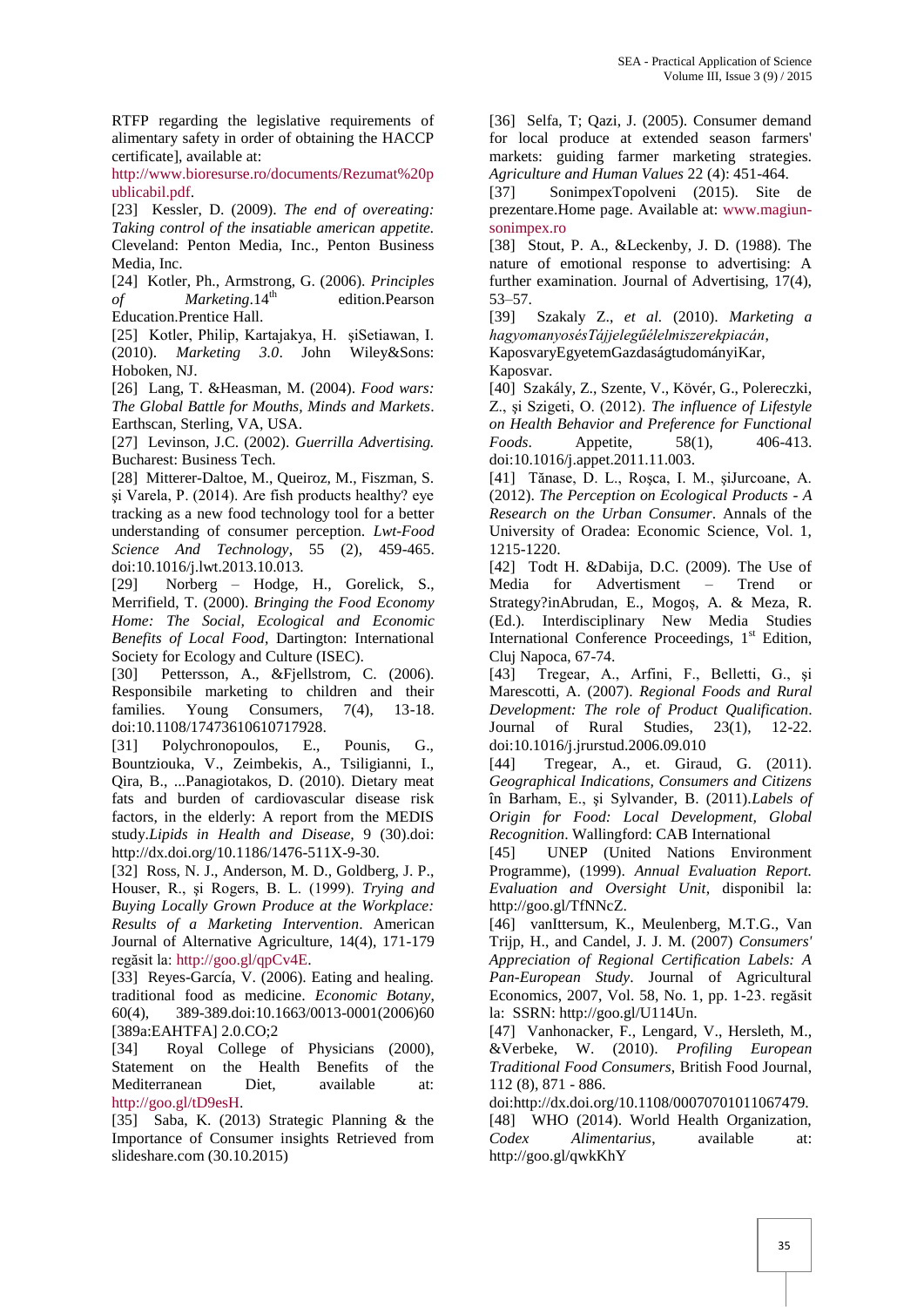RTFP regarding the legislative requirements of alimentary safety in order of obtaining the HACCP certificate], available at:

[http://www.bioresurse.ro/documents/Rezumat%20p](http://www.bioresurse.ro/documents/Rezumat%20publicabil.pdf) [ublicabil.pdf.](http://www.bioresurse.ro/documents/Rezumat%20publicabil.pdf)

[23] Kessler, D. (2009). *The end of overeating: Taking control of the insatiable american appetite.* Cleveland: Penton Media, Inc., Penton Business Media, Inc.

[24] Kotler, Ph., Armstrong, G. (2006). *Principles of Marketing*.14<sup>th</sup> edition.Pearson Education.Prentice Hall.

[25] Kotler, Philip, Kartajakya, H. şiSetiawan, I. (2010). *Marketing 3.0*. John Wiley&Sons: Hoboken, NJ.

[26] Lang, T. &Heasman, M. (2004). *Food wars: The Global Battle for Mouths, Minds and Markets*. Earthscan, Sterling, VA, USA.

[27] Levinson, J.C. (2002). *Guerrilla Advertising.* Bucharest: Business Tech.

[28] Mitterer-Daltoe, M., Queiroz, M., Fiszman, S. şi Varela, P. (2014). Are fish products healthy? eye tracking as a new food technology tool for a better understanding of consumer perception. *Lwt-Food Science And Technology*, 55 (2), 459-465. doi:10.1016/j.lwt.2013.10.013.

[29] Norberg – Hodge, H., Gorelick, S., Merrifield, T. (2000). *Bringing the Food Economy Home: The Social, Ecological and Economic Benefits of Local Food*, Dartington: International Society for Ecology and Culture (ISEC).

[30] Pettersson, A., &Fjellstrom, C. (2006). Responsibile marketing to children and their families. Young Consumers, 7(4), 13-18. doi:10.1108/17473610610717928.

[31] Polychronopoulos, E., Pounis, G., Bountziouka, V., Zeimbekis, A., Tsiligianni, I., Qira, B., ...Panagiotakos, D. (2010). Dietary meat fats and burden of cardiovascular disease risk factors, in the elderly: A report from the MEDIS study.*Lipids in Health and Disease,* 9 (30).doi: http://dx.doi.org/10.1186/1476-511X-9-30.

[32] Ross, N. J., Anderson, M. D., Goldberg, J. P., Houser, R., şi Rogers, B. L. (1999). *Trying and Buying Locally Grown Produce at the Workplace: Results of a Marketing Intervention*. American Journal of Alternative Agriculture, 14(4), 171-179 regăsit la[: http://goo.gl/qpCv4E.](http://goo.gl/qpCv4E)

[33] Reyes-García, V. (2006). Eating and healing. traditional food as medicine. *Economic Botany*, 60(4), 389-389.doi:10.1663/0013-0001(2006)60 [389a:EAHTFA] 2.0.CO;2

[34] Royal College of Physicians (2000), Statement on the Health Benefits of the Mediterranean Diet, available at: [http://goo.gl/tD9esH.](http://goo.gl/tD9esH)

[35] Saba, K. (2013) Strategic Planning & the Importance of Consumer insights Retrieved from slideshare.com (30.10.2015)

[36] Selfa, T; Qazi, J. (2005). Consumer demand for local produce at extended season farmers' markets: guiding farmer marketing strategies. *Agriculture and Human Values* 22 (4): 451-464.

[37] SonimpexTopolveni (2015). Site de prezentare.Home page. Available at: [www.magiun](http://www.magiun-sonimpex.ro/)[sonimpex.ro](http://www.magiun-sonimpex.ro/)

[38] Stout, P. A., &Leckenby, J. D. (1988). The nature of emotional response to advertising: A further examination. Journal of Advertising, 17(4), 53–57.

[39] Szakaly Z., *et al.* (2010). *Marketing a hagyomanyosésTájjelegűélelmiszerekpiacán*, KaposvaryEgyetemGazdaságtudományiKar, Kaposvar.

[40] Szakály, Z., Szente, V., Kövér, G., Polereczki, Z., şi Szigeti, O. (2012). *The influence of Lifestyle on Health Behavior and Preference for Functional Foods*. Appetite, 58(1), 406-413. doi:10.1016/j.appet.2011.11.003.

[41] Tănase, D. L., Roşca, I. M., şiJurcoane, A. (2012). *The Perception on Ecological Products - A Research on the Urban Consumer*. Annals of the University of Oradea: Economic Science, Vol. 1, 1215-1220.

[42] Todt H. &Dabija, D.C. (2009). The Use of Media for Advertisment – Trend or Strategy?inAbrudan, E., Mogoș, A. & Meza, R. (Ed.). Interdisciplinary New Media Studies International Conference Proceedings,  $1<sup>st</sup>$  Edition, Cluj Napoca, 67-74.

[43] Tregear, A., Arfini, F., Belletti, G., şi Marescotti, A. (2007). *Regional Foods and Rural Development: The role of Product Qualification*. Journal of Rural Studies, 23(1), 12-22. doi:10.1016/j.jrurstud.2006.09.010

[44] Tregear, A., et. Giraud, G. (2011). *Geographical Indications, Consumers and Citizens* în Barham, E., şi Sylvander, B. (2011).*Labels of Origin for Food: Local Development, Global Recognition*. Wallingford: CAB International

[45] UNEP (United Nations Environment Programme), (1999). *Annual Evaluation Report. Evaluation and Oversight Unit*, disponibil la: http://goo.gl/TfNNcZ.

[46] vanIttersum, K., Meulenberg, M.T.G., Van Trijp, H., and Candel, J. J. M. (2007) *Consumers' Appreciation of Regional Certification Labels: A Pan-European Study*. Journal of Agricultural Economics, 2007, Vol. 58, No. 1, pp. 1-23. regăsit la: SSRN: http://goo.gl/U114Un.

[47] Vanhonacker, F., Lengard, V., Hersleth, M., &Verbeke, W. (2010). *Profiling European Traditional Food Consumers*, British Food Journal, 112 (8), 871 - 886.

doi:http://dx.doi.org/10.1108/00070701011067479.

[48] WHO (2014). World Health Organization, *Codex Alimentarius*, available at: http://goo.gl/qwkKhY